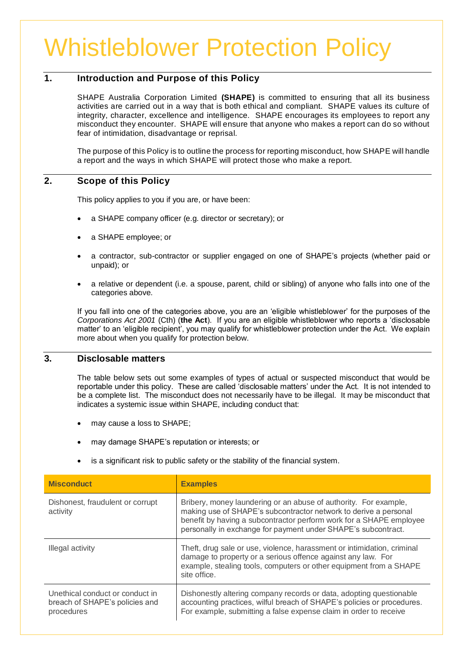# Whistleblower Protection Policy

# **1. Introduction and Purpose of this Policy**

SHAPE Australia Corporation Limited **(SHAPE)** is committed to ensuring that all its business activities are carried out in a way that is both ethical and compliant. SHAPE values its culture of integrity, character, excellence and intelligence. SHAPE encourages its employees to report any misconduct they encounter. SHAPE will ensure that anyone who makes a report can do so without fear of intimidation, disadvantage or reprisal.

The purpose of this Policy is to outline the process for reporting misconduct, how SHAPE will handle a report and the ways in which SHAPE will protect those who make a report.

## **2. Scope of this Policy**

This policy applies to you if you are, or have been:

- a SHAPE company officer (e.g. director or secretary); or
- a SHAPE employee; or
- a contractor, sub-contractor or supplier engaged on one of SHAPE's projects (whether paid or unpaid); or
- a relative or dependent (i.e. a spouse, parent, child or sibling) of anyone who falls into one of the categories above.

If you fall into one of the categories above, you are an 'eligible whistleblower' for the purposes of the *Corporations Act 2001* (Cth) (**the Act**). If you are an eligible whistleblower who reports a 'disclosable matter' to an 'eligible recipient', you may qualify for whistleblower protection under the Act. We explain more about when you qualify for protection below.

## **3. Disclosable matters**

The table below sets out some examples of types of actual or suspected misconduct that would be reportable under this policy. These are called 'disclosable matters' under the Act. It is not intended to be a complete list. The misconduct does not necessarily have to be illegal. It may be misconduct that indicates a systemic issue within SHAPE, including conduct that:

- may cause a loss to SHAPE;
- may damage SHAPE's reputation or interests; or
- is a significant risk to public safety or the stability of the financial system.

| <b>Misconduct</b>                                                               | <b>Examples</b>                                                                                                                                                                                                                                                              |
|---------------------------------------------------------------------------------|------------------------------------------------------------------------------------------------------------------------------------------------------------------------------------------------------------------------------------------------------------------------------|
| Dishonest, fraudulent or corrupt<br>activity                                    | Bribery, money laundering or an abuse of authority. For example,<br>making use of SHAPE's subcontractor network to derive a personal<br>benefit by having a subcontractor perform work for a SHAPE employee<br>personally in exchange for payment under SHAPE's subcontract. |
| Illegal activity                                                                | Theft, drug sale or use, violence, harassment or intimidation, criminal<br>damage to property or a serious offence against any law. For<br>example, stealing tools, computers or other equipment from a SHAPE<br>site office.                                                |
| Unethical conduct or conduct in<br>breach of SHAPE's policies and<br>procedures | Dishonestly altering company records or data, adopting questionable<br>accounting practices, wilful breach of SHAPE's policies or procedures.<br>For example, submitting a false expense claim in order to receive                                                           |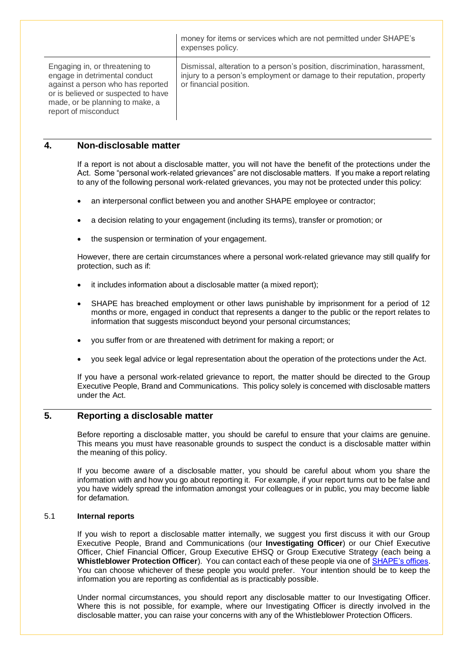|                                                                                                                                                                                                        | money for items or services which are not permitted under SHAPE's<br>expenses policy.                                                                                          |
|--------------------------------------------------------------------------------------------------------------------------------------------------------------------------------------------------------|--------------------------------------------------------------------------------------------------------------------------------------------------------------------------------|
| Engaging in, or threatening to<br>engage in detrimental conduct<br>against a person who has reported<br>or is believed or suspected to have<br>made, or be planning to make, a<br>report of misconduct | Dismissal, alteration to a person's position, discrimination, harassment,<br>injury to a person's employment or damage to their reputation, property<br>or financial position. |

#### **4. Non-disclosable matter**

If a report is not about a disclosable matter, you will not have the benefit of the protections under the Act. Some "personal work-related grievances" are not disclosable matters. If you make a report relating to any of the following personal work-related grievances, you may not be protected under this policy:

- an interpersonal conflict between you and another SHAPE employee or contractor;
- a decision relating to your engagement (including its terms), transfer or promotion; or
- the suspension or termination of your engagement.

However, there are certain circumstances where a personal work-related grievance may still qualify for protection, such as if:

- it includes information about a disclosable matter (a mixed report);
- SHAPE has breached employment or other laws punishable by imprisonment for a period of 12 months or more, engaged in conduct that represents a danger to the public or the report relates to information that suggests misconduct beyond your personal circumstances;
- you suffer from or are threatened with detriment for making a report; or
- you seek legal advice or legal representation about the operation of the protections under the Act.

If you have a personal work-related grievance to report, the matter should be directed to the Group Executive People, Brand and Communications. This policy solely is concerned with disclosable matters under the Act.

## **5. Reporting a disclosable matter**

Before reporting a disclosable matter, you should be careful to ensure that your claims are genuine. This means you must have reasonable grounds to suspect the conduct is a disclosable matter within the meaning of this policy.

If you become aware of a disclosable matter, you should be careful about whom you share the information with and how you go about reporting it. For example, if your report turns out to be false and you have widely spread the information amongst your colleagues or in public, you may become liable for defamation.

#### 5.1 **Internal reports**

If you wish to report a disclosable matter internally, we suggest you first discuss it with our Group Executive People, Brand and Communications (our **Investigating Officer**) or our Chief Executive Officer, Chief Financial Officer, Group Executive EHSQ or Group Executive Strategy (each being a **Whistleblower Protection Officer**). You can contact each of these people via one of [SHAPE's offices.](https://shape.com.au/contact/) You can choose whichever of these people you would prefer. Your intention should be to keep the information you are reporting as confidential as is practicably possible.

Under normal circumstances, you should report any disclosable matter to our Investigating Officer. Where this is not possible, for example, where our Investigating Officer is directly involved in the disclosable matter, you can raise your concerns with any of the Whistleblower Protection Officers.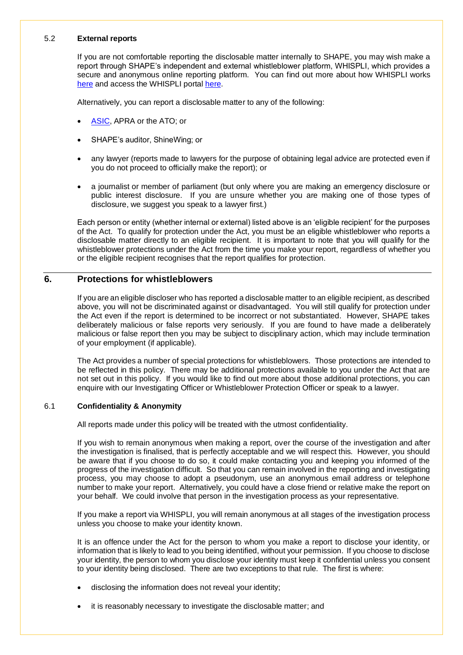#### 5.2 **External reports**

If you are not comfortable reporting the disclosable matter internally to SHAPE, you may wish make a report through SHAPE's independent and external whistleblower platform, WHISPLI, which provides a secure and anonymous online reporting platform. You can find out more about how WHISPLI works [here](https://whispli.com/trust-center/) and access the WHISPLI portal [here.](https://shape.whispli.com/2ab3d3b2-8814-11e9-86f1-0242ac110002)

Alternatively, you can report a disclosable matter to any of the following:

- [ASIC,](https://asic.gov.au/about-asic/asic-investigations-and-enforcement/whistleblowing/how-asic-handles-whistleblower-reports/) APRA or the ATO; or
- SHAPE's auditor, ShineWing; or
- any lawyer (reports made to lawyers for the purpose of obtaining legal advice are protected even if you do not proceed to officially make the report); or
- a journalist or member of parliament (but only where you are making an emergency disclosure or public interest disclosure. If you are unsure whether you are making one of those types of disclosure, we suggest you speak to a lawyer first.)

Each person or entity (whether internal or external) listed above is an 'eligible recipient' for the purposes of the Act. To qualify for protection under the Act, you must be an eligible whistleblower who reports a disclosable matter directly to an eligible recipient. It is important to note that you will qualify for the whistleblower protections under the Act from the time you make your report, regardless of whether you or the eligible recipient recognises that the report qualifies for protection.

#### **6. Protections for whistleblowers**

If you are an eligible discloser who has reported a disclosable matter to an eligible recipient, as described above, you will not be discriminated against or disadvantaged. You will still qualify for protection under the Act even if the report is determined to be incorrect or not substantiated. However, SHAPE takes deliberately malicious or false reports very seriously. If you are found to have made a deliberately malicious or false report then you may be subject to disciplinary action, which may include termination of your employment (if applicable).

The Act provides a number of special protections for whistleblowers. Those protections are intended to be reflected in this policy. There may be additional protections available to you under the Act that are not set out in this policy. If you would like to find out more about those additional protections, you can enquire with our Investigating Officer or Whistleblower Protection Officer or speak to a lawyer.

#### 6.1 **Confidentiality & Anonymity**

All reports made under this policy will be treated with the utmost confidentiality.

If you wish to remain anonymous when making a report, over the course of the investigation and after the investigation is finalised, that is perfectly acceptable and we will respect this. However, you should be aware that if you choose to do so, it could make contacting you and keeping you informed of the progress of the investigation difficult. So that you can remain involved in the reporting and investigating process, you may choose to adopt a pseudonym, use an anonymous email address or telephone number to make your report. Alternatively, you could have a close friend or relative make the report on your behalf. We could involve that person in the investigation process as your representative.

If you make a report via WHISPLI, you will remain anonymous at all stages of the investigation process unless you choose to make your identity known.

It is an offence under the Act for the person to whom you make a report to disclose your identity, or information that is likely to lead to you being identified, without your permission. If you choose to disclose your identity, the person to whom you disclose your identity must keep it confidential unless you consent to your identity being disclosed. There are two exceptions to that rule. The first is where:

- disclosing the information does not reveal your identity;
- it is reasonably necessary to investigate the disclosable matter; and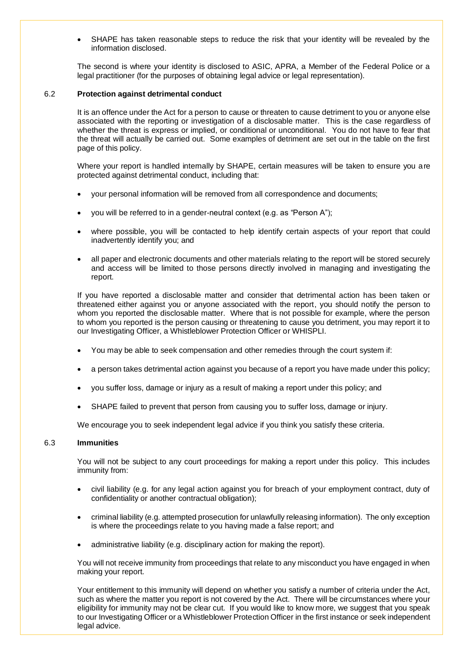• SHAPE has taken reasonable steps to reduce the risk that your identity will be revealed by the information disclosed.

The second is where your identity is disclosed to ASIC, APRA, a Member of the Federal Police or a legal practitioner (for the purposes of obtaining legal advice or legal representation).

#### 6.2 **Protection against detrimental conduct**

It is an offence under the Act for a person to cause or threaten to cause detriment to you or anyone else associated with the reporting or investigation of a disclosable matter. This is the case regardless of whether the threat is express or implied, or conditional or unconditional. You do not have to fear that the threat will actually be carried out. Some examples of detriment are set out in the table on the first page of this policy.

Where your report is handled internally by SHAPE, certain measures will be taken to ensure you are protected against detrimental conduct, including that:

- your personal information will be removed from all correspondence and documents;
- you will be referred to in a gender-neutral context (e.g. as "Person A");
- where possible, you will be contacted to help identify certain aspects of your report that could inadvertently identify you; and
- all paper and electronic documents and other materials relating to the report will be stored securely and access will be limited to those persons directly involved in managing and investigating the report.

If you have reported a disclosable matter and consider that detrimental action has been taken or threatened either against you or anyone associated with the report, you should notify the person to whom you reported the disclosable matter. Where that is not possible for example, where the person to whom you reported is the person causing or threatening to cause you detriment, you may report it to our Investigating Officer, a Whistleblower Protection Officer or WHISPLI.

- You may be able to seek compensation and other remedies through the court system if:
- a person takes detrimental action against you because of a report you have made under this policy;
- you suffer loss, damage or injury as a result of making a report under this policy; and
- SHAPE failed to prevent that person from causing you to suffer loss, damage or injury.

We encourage you to seek independent legal advice if you think you satisfy these criteria.

#### 6.3 **Immunities**

You will not be subject to any court proceedings for making a report under this policy. This includes immunity from:

- civil liability (e.g. for any legal action against you for breach of your employment contract, duty of confidentiality or another contractual obligation);
- criminal liability (e.g. attempted prosecution for unlawfully releasing information). The only exception is where the proceedings relate to you having made a false report; and
- administrative liability (e.g. disciplinary action for making the report).

You will not receive immunity from proceedings that relate to any misconduct you have engaged in when making your report.

Your entitlement to this immunity will depend on whether you satisfy a number of criteria under the Act, such as where the matter you report is not covered by the Act. There will be circumstances where your eligibility for immunity may not be clear cut. If you would like to know more, we suggest that you speak to our Investigating Officer or a Whistleblower Protection Officer in the first instance or seek independent legal advice.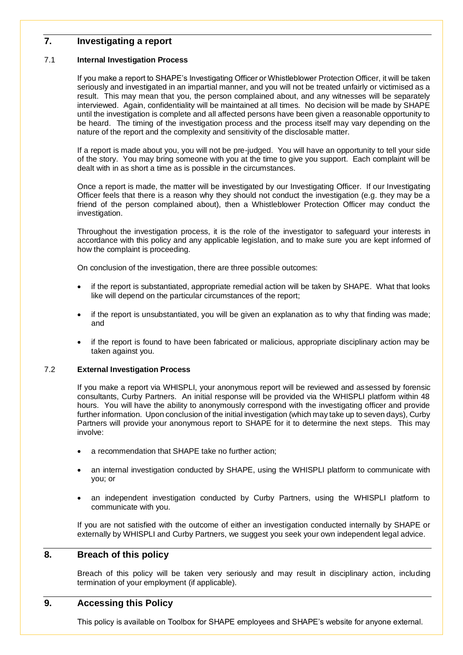## **7. Investigating a report**

#### 7.1 **Internal Investigation Process**

If you make a report to SHAPE's Investigating Officer or Whistleblower Protection Officer, it will be taken seriously and investigated in an impartial manner, and you will not be treated unfairly or victimised as a result. This may mean that you, the person complained about, and any witnesses will be separately interviewed. Again, confidentiality will be maintained at all times. No decision will be made by SHAPE until the investigation is complete and all affected persons have been given a reasonable opportunity to be heard. The timing of the investigation process and the process itself may vary depending on the nature of the report and the complexity and sensitivity of the disclosable matter.

If a report is made about you, you will not be pre-judged. You will have an opportunity to tell your side of the story. You may bring someone with you at the time to give you support. Each complaint will be dealt with in as short a time as is possible in the circumstances.

Once a report is made, the matter will be investigated by our Investigating Officer. If our Investigating Officer feels that there is a reason why they should not conduct the investigation (e.g. they may be a friend of the person complained about), then a Whistleblower Protection Officer may conduct the investigation.

Throughout the investigation process, it is the role of the investigator to safeguard your interests in accordance with this policy and any applicable legislation, and to make sure you are kept informed of how the complaint is proceeding.

On conclusion of the investigation, there are three possible outcomes:

- if the report is substantiated, appropriate remedial action will be taken by SHAPE. What that looks like will depend on the particular circumstances of the report;
- if the report is unsubstantiated, you will be given an explanation as to why that finding was made; and
- if the report is found to have been fabricated or malicious, appropriate disciplinary action may be taken against you.

#### 7.2 **External Investigation Process**

If you make a report via WHISPLI, your anonymous report will be reviewed and assessed by forensic consultants, Curby Partners. An initial response will be provided via the WHISPLI platform within 48 hours. You will have the ability to anonymously correspond with the investigating officer and provide further information. Upon conclusion of the initial investigation (which may take up to seven days), Curby Partners will provide your anonymous report to SHAPE for it to determine the next steps. This may involve:

- a recommendation that SHAPE take no further action;
- an internal investigation conducted by SHAPE, using the WHISPLI platform to communicate with you; or
- an independent investigation conducted by Curby Partners, using the WHISPLI platform to communicate with you.

If you are not satisfied with the outcome of either an investigation conducted internally by SHAPE or externally by WHISPLI and Curby Partners, we suggest you seek your own independent legal advice.

## **8. Breach of this policy**

Breach of this policy will be taken very seriously and may result in disciplinary action, including termination of your employment (if applicable).

## **9. Accessing this Policy**

This policy is available on Toolbox for SHAPE employees and SHAPE's website for anyone external.